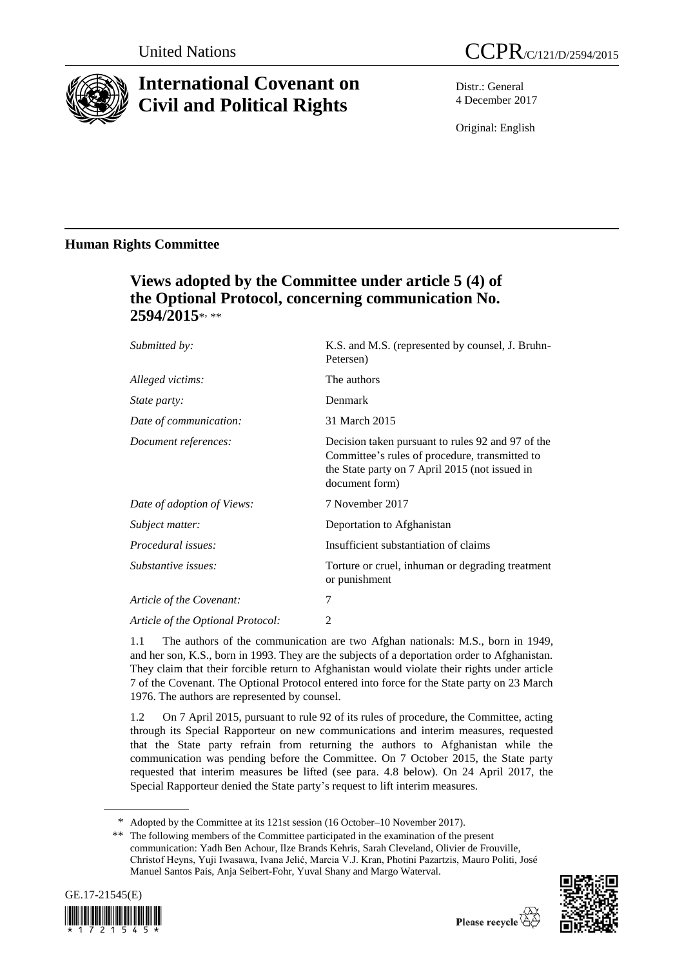

# **International Covenant on Civil and Political Rights**

Distr.: General 4 December 2017

Original: English

### **Human Rights Committee**

## **Views adopted by the Committee under article 5 (4) of the Optional Protocol, concerning communication No. 2594/2015**\* , \*\*

| Submitted by:                     | K.S. and M.S. (represented by counsel, J. Bruhn-<br>Petersen)                                                                                                           |
|-----------------------------------|-------------------------------------------------------------------------------------------------------------------------------------------------------------------------|
| Alleged victims:                  | The authors                                                                                                                                                             |
| <i>State party:</i>               | Denmark                                                                                                                                                                 |
| Date of communication:            | 31 March 2015                                                                                                                                                           |
| Document references:              | Decision taken pursuant to rules 92 and 97 of the<br>Committee's rules of procedure, transmitted to<br>the State party on 7 April 2015 (not issued in<br>document form) |
| Date of adoption of Views:        | 7 November 2017                                                                                                                                                         |
| Subject matter:                   | Deportation to Afghanistan                                                                                                                                              |
| <i>Procedural issues:</i>         | Insufficient substantiation of claims                                                                                                                                   |
| Substantive issues:               | Torture or cruel, inhuman or degrading treatment<br>or punishment                                                                                                       |
| Article of the Covenant:          | 7                                                                                                                                                                       |
| Article of the Optional Protocol: | 2                                                                                                                                                                       |

1.1 The authors of the communication are two Afghan nationals: M.S., born in 1949, and her son, K.S., born in 1993. They are the subjects of a deportation order to Afghanistan. They claim that their forcible return to Afghanistan would violate their rights under article 7 of the Covenant. The Optional Protocol entered into force for the State party on 23 March 1976. The authors are represented by counsel.

1.2 On 7 April 2015, pursuant to rule 92 of its rules of procedure, the Committee, acting through its Special Rapporteur on new communications and interim measures, requested that the State party refrain from returning the authors to Afghanistan while the communication was pending before the Committee. On 7 October 2015, the State party requested that interim measures be lifted (see para. 4.8 below). On 24 April 2017, the Special Rapporteur denied the State party's request to lift interim measures.

<sup>\*\*</sup> The following members of the Committee participated in the examination of the present communication: Yadh Ben Achour, Ilze Brands Kehris, Sarah Cleveland, Olivier de Frouville, Christof Heyns, Yuji Iwasawa, Ivana Jelić, Marcia V.J. Kran, Photini Pazartzis, Mauro Politi, José Manuel Santos Pais, Anja Seibert-Fohr, Yuval Shany and Margo Waterval.





<sup>\*</sup> Adopted by the Committee at its 121st session (16 October–10 November 2017).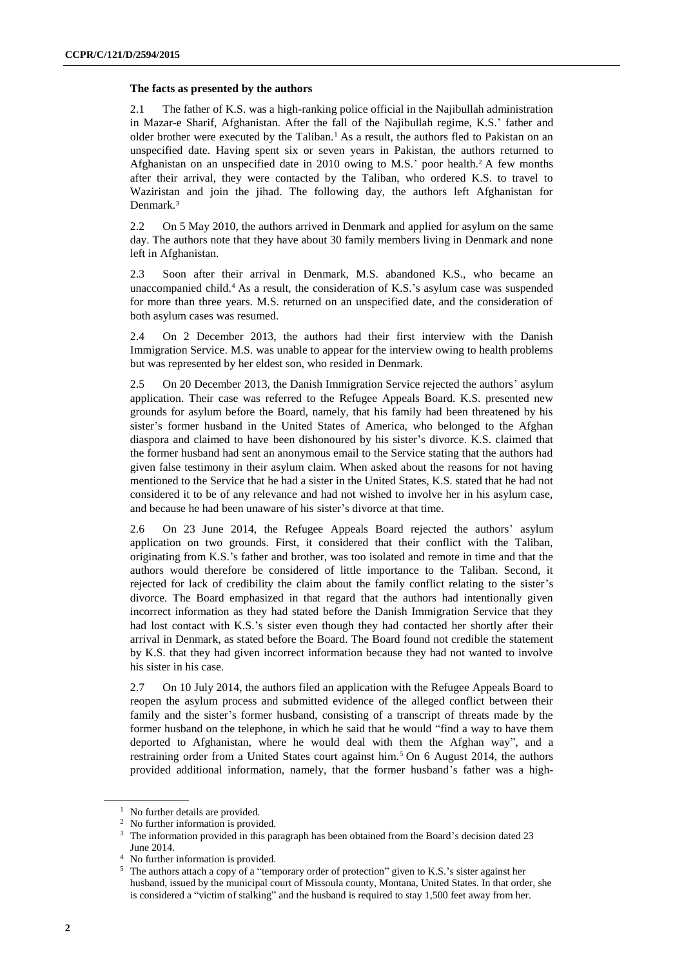#### **The facts as presented by the authors**

2.1 The father of K.S. was a high-ranking police official in the Najibullah administration in Mazar-e Sharif, Afghanistan. After the fall of the Najibullah regime, K.S.' father and older brother were executed by the Taliban.<sup>1</sup> As a result, the authors fled to Pakistan on an unspecified date. Having spent six or seven years in Pakistan, the authors returned to Afghanistan on an unspecified date in 2010 owing to M.S.' poor health.<sup>2</sup> A few months after their arrival, they were contacted by the Taliban, who ordered K.S. to travel to Waziristan and join the jihad. The following day, the authors left Afghanistan for Denmark.<sup>3</sup>

2.2 On 5 May 2010, the authors arrived in Denmark and applied for asylum on the same day. The authors note that they have about 30 family members living in Denmark and none left in Afghanistan.

2.3 Soon after their arrival in Denmark, M.S. abandoned K.S., who became an unaccompanied child.<sup>4</sup> As a result, the consideration of K.S.'s asylum case was suspended for more than three years. M.S. returned on an unspecified date, and the consideration of both asylum cases was resumed.

2.4 On 2 December 2013, the authors had their first interview with the Danish Immigration Service. M.S. was unable to appear for the interview owing to health problems but was represented by her eldest son, who resided in Denmark.

2.5 On 20 December 2013, the Danish Immigration Service rejected the authors' asylum application. Their case was referred to the Refugee Appeals Board. K.S. presented new grounds for asylum before the Board, namely, that his family had been threatened by his sister's former husband in the United States of America, who belonged to the Afghan diaspora and claimed to have been dishonoured by his sister's divorce. K.S. claimed that the former husband had sent an anonymous email to the Service stating that the authors had given false testimony in their asylum claim. When asked about the reasons for not having mentioned to the Service that he had a sister in the United States, K.S. stated that he had not considered it to be of any relevance and had not wished to involve her in his asylum case, and because he had been unaware of his sister's divorce at that time.

2.6 On 23 June 2014, the Refugee Appeals Board rejected the authors' asylum application on two grounds. First, it considered that their conflict with the Taliban, originating from K.S.'s father and brother, was too isolated and remote in time and that the authors would therefore be considered of little importance to the Taliban. Second, it rejected for lack of credibility the claim about the family conflict relating to the sister's divorce. The Board emphasized in that regard that the authors had intentionally given incorrect information as they had stated before the Danish Immigration Service that they had lost contact with K.S.'s sister even though they had contacted her shortly after their arrival in Denmark, as stated before the Board. The Board found not credible the statement by K.S. that they had given incorrect information because they had not wanted to involve his sister in his case.

2.7 On 10 July 2014, the authors filed an application with the Refugee Appeals Board to reopen the asylum process and submitted evidence of the alleged conflict between their family and the sister's former husband, consisting of a transcript of threats made by the former husband on the telephone, in which he said that he would "find a way to have them deported to Afghanistan, where he would deal with them the Afghan way", and a restraining order from a United States court against him.<sup>5</sup> On 6 August 2014, the authors provided additional information, namely, that the former husband's father was a high-

<sup>&</sup>lt;sup>1</sup> No further details are provided.

<sup>2</sup> No further information is provided.

<sup>&</sup>lt;sup>3</sup> The information provided in this paragraph has been obtained from the Board's decision dated 23 June 2014.

<sup>4</sup> No further information is provided.

<sup>5</sup> The authors attach a copy of a "temporary order of protection" given to K.S.'s sister against her husband, issued by the municipal court of Missoula county, Montana, United States. In that order, she is considered a "victim of stalking" and the husband is required to stay 1,500 feet away from her.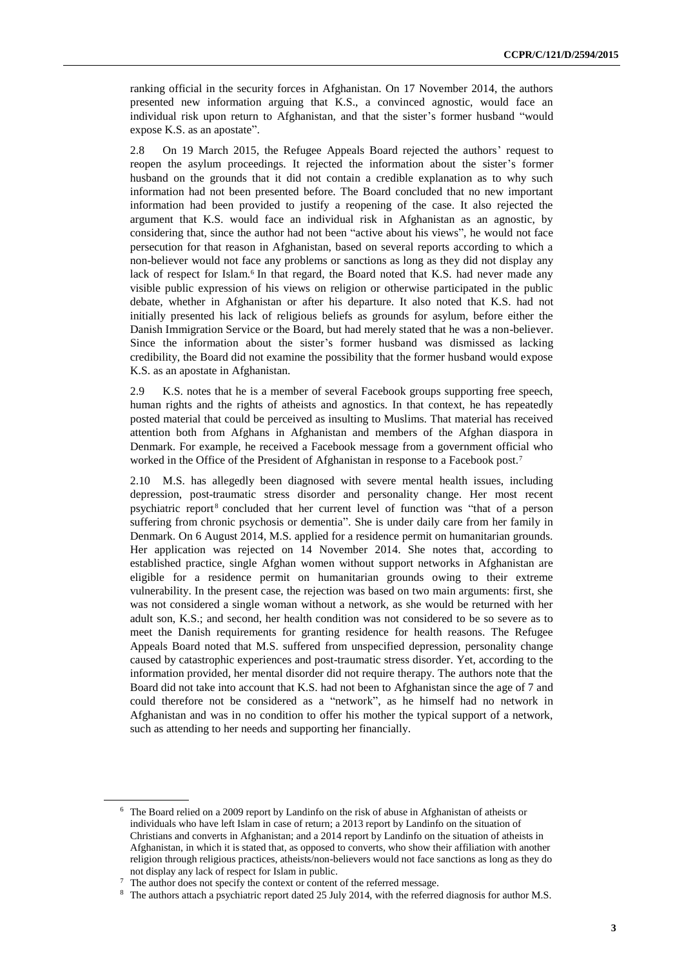ranking official in the security forces in Afghanistan. On 17 November 2014, the authors presented new information arguing that K.S., a convinced agnostic, would face an individual risk upon return to Afghanistan, and that the sister's former husband "would expose K.S. as an apostate".

2.8 On 19 March 2015, the Refugee Appeals Board rejected the authors' request to reopen the asylum proceedings. It rejected the information about the sister's former husband on the grounds that it did not contain a credible explanation as to why such information had not been presented before. The Board concluded that no new important information had been provided to justify a reopening of the case. It also rejected the argument that K.S. would face an individual risk in Afghanistan as an agnostic, by considering that, since the author had not been "active about his views", he would not face persecution for that reason in Afghanistan, based on several reports according to which a non-believer would not face any problems or sanctions as long as they did not display any lack of respect for Islam.<sup>6</sup> In that regard, the Board noted that K.S. had never made any visible public expression of his views on religion or otherwise participated in the public debate, whether in Afghanistan or after his departure. It also noted that K.S. had not initially presented his lack of religious beliefs as grounds for asylum, before either the Danish Immigration Service or the Board, but had merely stated that he was a non-believer. Since the information about the sister's former husband was dismissed as lacking credibility, the Board did not examine the possibility that the former husband would expose K.S. as an apostate in Afghanistan.

2.9 K.S. notes that he is a member of several Facebook groups supporting free speech, human rights and the rights of atheists and agnostics. In that context, he has repeatedly posted material that could be perceived as insulting to Muslims. That material has received attention both from Afghans in Afghanistan and members of the Afghan diaspora in Denmark. For example, he received a Facebook message from a government official who worked in the Office of the President of Afghanistan in response to a Facebook post.<sup>7</sup>

2.10 M.S. has allegedly been diagnosed with severe mental health issues, including depression, post-traumatic stress disorder and personality change. Her most recent psychiatric report <sup>8</sup> concluded that her current level of function was "that of a person suffering from chronic psychosis or dementia". She is under daily care from her family in Denmark. On 6 August 2014, M.S. applied for a residence permit on humanitarian grounds. Her application was rejected on 14 November 2014. She notes that, according to established practice, single Afghan women without support networks in Afghanistan are eligible for a residence permit on humanitarian grounds owing to their extreme vulnerability. In the present case, the rejection was based on two main arguments: first, she was not considered a single woman without a network, as she would be returned with her adult son, K.S.; and second, her health condition was not considered to be so severe as to meet the Danish requirements for granting residence for health reasons. The Refugee Appeals Board noted that M.S. suffered from unspecified depression, personality change caused by catastrophic experiences and post-traumatic stress disorder. Yet, according to the information provided, her mental disorder did not require therapy. The authors note that the Board did not take into account that K.S. had not been to Afghanistan since the age of 7 and could therefore not be considered as a "network", as he himself had no network in Afghanistan and was in no condition to offer his mother the typical support of a network, such as attending to her needs and supporting her financially.

<sup>6</sup> The Board relied on a 2009 report by Landinfo on the risk of abuse in Afghanistan of atheists or individuals who have left Islam in case of return; a 2013 report by Landinfo on the situation of Christians and converts in Afghanistan; and a 2014 report by Landinfo on the situation of atheists in Afghanistan, in which it is stated that, as opposed to converts, who show their affiliation with another religion through religious practices, atheists/non-believers would not face sanctions as long as they do not display any lack of respect for Islam in public.

<sup>7</sup> The author does not specify the context or content of the referred message.

<sup>8</sup> The authors attach a psychiatric report dated 25 July 2014, with the referred diagnosis for author M.S.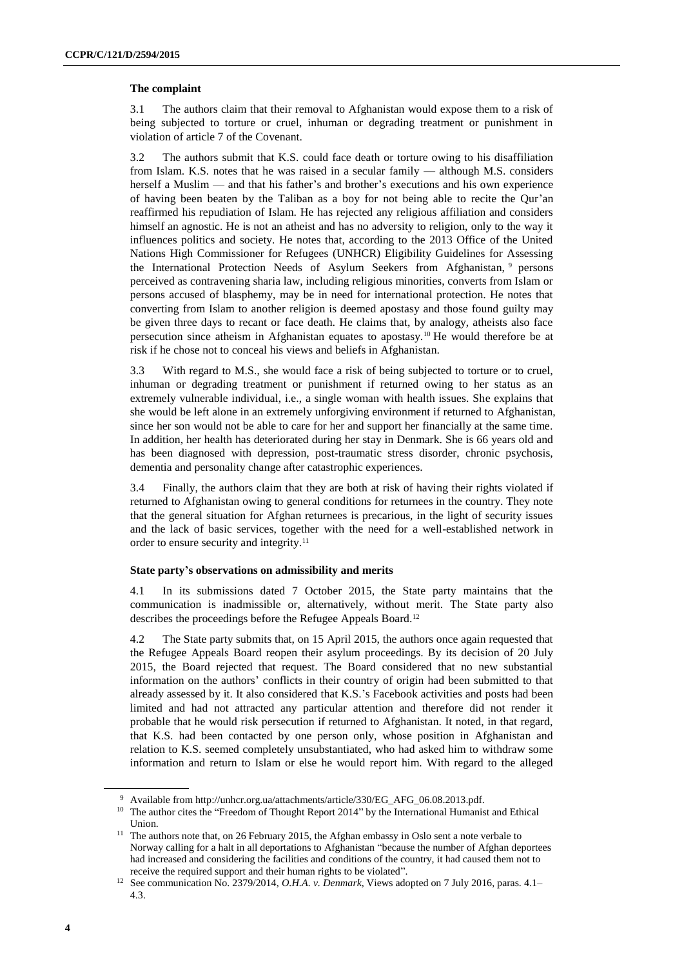#### **The complaint**

3.1 The authors claim that their removal to Afghanistan would expose them to a risk of being subjected to torture or cruel, inhuman or degrading treatment or punishment in violation of article 7 of the Covenant.

3.2 The authors submit that K.S. could face death or torture owing to his disaffiliation from Islam. K.S. notes that he was raised in a secular family — although M.S. considers herself a Muslim — and that his father's and brother's executions and his own experience of having been beaten by the Taliban as a boy for not being able to recite the Qur'an reaffirmed his repudiation of Islam. He has rejected any religious affiliation and considers himself an agnostic. He is not an atheist and has no adversity to religion, only to the way it influences politics and society. He notes that, according to the 2013 Office of the United Nations High Commissioner for Refugees (UNHCR) Eligibility Guidelines for Assessing the International Protection Needs of Asylum Seekers from Afghanistan, <sup>9</sup> persons perceived as contravening sharia law, including religious minorities, converts from Islam or persons accused of blasphemy, may be in need for international protection. He notes that converting from Islam to another religion is deemed apostasy and those found guilty may be given three days to recant or face death. He claims that, by analogy, atheists also face persecution since atheism in Afghanistan equates to apostasy.<sup>10</sup> He would therefore be at risk if he chose not to conceal his views and beliefs in Afghanistan.

3.3 With regard to M.S., she would face a risk of being subjected to torture or to cruel, inhuman or degrading treatment or punishment if returned owing to her status as an extremely vulnerable individual, i.e., a single woman with health issues. She explains that she would be left alone in an extremely unforgiving environment if returned to Afghanistan, since her son would not be able to care for her and support her financially at the same time. In addition, her health has deteriorated during her stay in Denmark. She is 66 years old and has been diagnosed with depression, post-traumatic stress disorder, chronic psychosis, dementia and personality change after catastrophic experiences.

3.4 Finally, the authors claim that they are both at risk of having their rights violated if returned to Afghanistan owing to general conditions for returnees in the country. They note that the general situation for Afghan returnees is precarious, in the light of security issues and the lack of basic services, together with the need for a well-established network in order to ensure security and integrity.<sup>11</sup>

#### **State party's observations on admissibility and merits**

4.1 In its submissions dated 7 October 2015, the State party maintains that the communication is inadmissible or, alternatively, without merit. The State party also describes the proceedings before the Refugee Appeals Board.<sup>12</sup>

4.2 The State party submits that, on 15 April 2015, the authors once again requested that the Refugee Appeals Board reopen their asylum proceedings. By its decision of 20 July 2015, the Board rejected that request. The Board considered that no new substantial information on the authors' conflicts in their country of origin had been submitted to that already assessed by it. It also considered that K.S.'s Facebook activities and posts had been limited and had not attracted any particular attention and therefore did not render it probable that he would risk persecution if returned to Afghanistan. It noted, in that regard, that K.S. had been contacted by one person only, whose position in Afghanistan and relation to K.S. seemed completely unsubstantiated, who had asked him to withdraw some information and return to Islam or else he would report him. With regard to the alleged

<sup>9</sup> Available from http://unhcr.org.ua/attachments/article/330/EG\_AFG\_06.08.2013.pdf.

<sup>&</sup>lt;sup>10</sup> The author cites the "Freedom of Thought Report 2014" by the International Humanist and Ethical Union.

<sup>&</sup>lt;sup>11</sup> The authors note that, on 26 February 2015, the Afghan embassy in Oslo sent a note verbale to Norway calling for a halt in all deportations to Afghanistan "because the number of Afghan deportees had increased and considering the facilities and conditions of the country, it had caused them not to receive the required support and their human rights to be violated".

<sup>12</sup> See communication No. 2379/2014, *O.H.A. v. Denmark*, Views adopted on 7 July 2016, paras. 4.1– 4.3.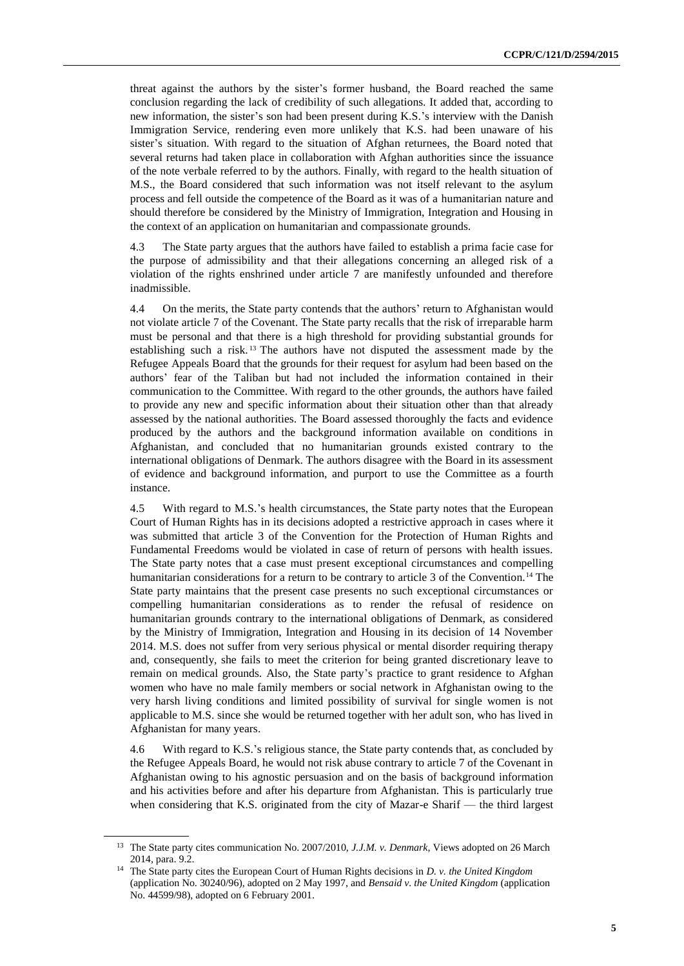threat against the authors by the sister's former husband, the Board reached the same conclusion regarding the lack of credibility of such allegations. It added that, according to new information, the sister's son had been present during K.S.'s interview with the Danish Immigration Service, rendering even more unlikely that K.S. had been unaware of his sister's situation. With regard to the situation of Afghan returnees, the Board noted that several returns had taken place in collaboration with Afghan authorities since the issuance of the note verbale referred to by the authors. Finally, with regard to the health situation of M.S., the Board considered that such information was not itself relevant to the asylum process and fell outside the competence of the Board as it was of a humanitarian nature and should therefore be considered by the Ministry of Immigration, Integration and Housing in the context of an application on humanitarian and compassionate grounds.

4.3 The State party argues that the authors have failed to establish a prima facie case for the purpose of admissibility and that their allegations concerning an alleged risk of a violation of the rights enshrined under article 7 are manifestly unfounded and therefore inadmissible.

4.4 On the merits, the State party contends that the authors' return to Afghanistan would not violate article 7 of the Covenant. The State party recalls that the risk of irreparable harm must be personal and that there is a high threshold for providing substantial grounds for establishing such a risk. <sup>13</sup> The authors have not disputed the assessment made by the Refugee Appeals Board that the grounds for their request for asylum had been based on the authors' fear of the Taliban but had not included the information contained in their communication to the Committee. With regard to the other grounds, the authors have failed to provide any new and specific information about their situation other than that already assessed by the national authorities. The Board assessed thoroughly the facts and evidence produced by the authors and the background information available on conditions in Afghanistan, and concluded that no humanitarian grounds existed contrary to the international obligations of Denmark. The authors disagree with the Board in its assessment of evidence and background information, and purport to use the Committee as a fourth instance.

4.5 With regard to M.S.'s health circumstances, the State party notes that the European Court of Human Rights has in its decisions adopted a restrictive approach in cases where it was submitted that article 3 of the Convention for the Protection of Human Rights and Fundamental Freedoms would be violated in case of return of persons with health issues. The State party notes that a case must present exceptional circumstances and compelling humanitarian considerations for a return to be contrary to article 3 of the Convention.<sup>14</sup> The State party maintains that the present case presents no such exceptional circumstances or compelling humanitarian considerations as to render the refusal of residence on humanitarian grounds contrary to the international obligations of Denmark, as considered by the Ministry of Immigration, Integration and Housing in its decision of 14 November 2014. M.S. does not suffer from very serious physical or mental disorder requiring therapy and, consequently, she fails to meet the criterion for being granted discretionary leave to remain on medical grounds. Also, the State party's practice to grant residence to Afghan women who have no male family members or social network in Afghanistan owing to the very harsh living conditions and limited possibility of survival for single women is not applicable to M.S. since she would be returned together with her adult son, who has lived in Afghanistan for many years.

4.6 With regard to K.S.'s religious stance, the State party contends that, as concluded by the Refugee Appeals Board, he would not risk abuse contrary to article 7 of the Covenant in Afghanistan owing to his agnostic persuasion and on the basis of background information and his activities before and after his departure from Afghanistan. This is particularly true when considering that K.S. originated from the city of Mazar-e Sharif — the third largest

<sup>13</sup> The State party cites communication No. 2007/2010, *J.J.M. v. Denmark*, Views adopted on 26 March 2014, para. 9.2.

<sup>14</sup> The State party cites the European Court of Human Rights decisions in *D. v. the United Kingdom* (application No. 30240/96), adopted on 2 May 1997, and *Bensaid v. the United Kingdom* (application No. 44599/98), adopted on 6 February 2001.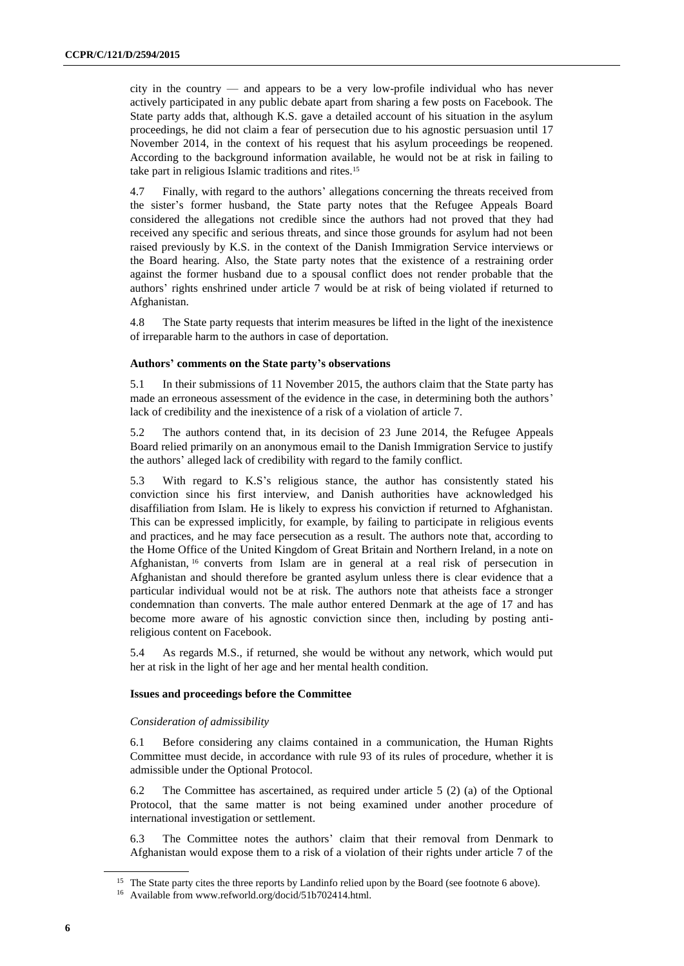city in the country — and appears to be a very low-profile individual who has never actively participated in any public debate apart from sharing a few posts on Facebook. The State party adds that, although K.S. gave a detailed account of his situation in the asylum proceedings, he did not claim a fear of persecution due to his agnostic persuasion until 17 November 2014, in the context of his request that his asylum proceedings be reopened. According to the background information available, he would not be at risk in failing to take part in religious Islamic traditions and rites.<sup>15</sup>

4.7 Finally, with regard to the authors' allegations concerning the threats received from the sister's former husband, the State party notes that the Refugee Appeals Board considered the allegations not credible since the authors had not proved that they had received any specific and serious threats, and since those grounds for asylum had not been raised previously by K.S. in the context of the Danish Immigration Service interviews or the Board hearing. Also, the State party notes that the existence of a restraining order against the former husband due to a spousal conflict does not render probable that the authors' rights enshrined under article 7 would be at risk of being violated if returned to Afghanistan.

4.8 The State party requests that interim measures be lifted in the light of the inexistence of irreparable harm to the authors in case of deportation.

#### **Authors' comments on the State party's observations**

5.1 In their submissions of 11 November 2015, the authors claim that the State party has made an erroneous assessment of the evidence in the case, in determining both the authors' lack of credibility and the inexistence of a risk of a violation of article 7.

5.2 The authors contend that, in its decision of 23 June 2014, the Refugee Appeals Board relied primarily on an anonymous email to the Danish Immigration Service to justify the authors' alleged lack of credibility with regard to the family conflict.

5.3 With regard to K.S's religious stance, the author has consistently stated his conviction since his first interview, and Danish authorities have acknowledged his disaffiliation from Islam. He is likely to express his conviction if returned to Afghanistan. This can be expressed implicitly, for example, by failing to participate in religious events and practices, and he may face persecution as a result. The authors note that, according to the Home Office of the United Kingdom of Great Britain and Northern Ireland, in a note on Afghanistan, <sup>16</sup> converts from Islam are in general at a real risk of persecution in Afghanistan and should therefore be granted asylum unless there is clear evidence that a particular individual would not be at risk. The authors note that atheists face a stronger condemnation than converts. The male author entered Denmark at the age of 17 and has become more aware of his agnostic conviction since then, including by posting antireligious content on Facebook.

5.4 As regards M.S., if returned, she would be without any network, which would put her at risk in the light of her age and her mental health condition.

#### **Issues and proceedings before the Committee**

#### *Consideration of admissibility*

6.1 Before considering any claims contained in a communication, the Human Rights Committee must decide, in accordance with rule 93 of its rules of procedure, whether it is admissible under the Optional Protocol.

6.2 The Committee has ascertained, as required under article 5 (2) (a) of the Optional Protocol, that the same matter is not being examined under another procedure of international investigation or settlement.

6.3 The Committee notes the authors' claim that their removal from Denmark to Afghanistan would expose them to a risk of a violation of their rights under article 7 of the

<sup>&</sup>lt;sup>15</sup> The State party cites the three reports by Landinfo relied upon by the Board (see footnote 6 above).

<sup>16</sup> Available from www.refworld.org/docid/51b702414.html.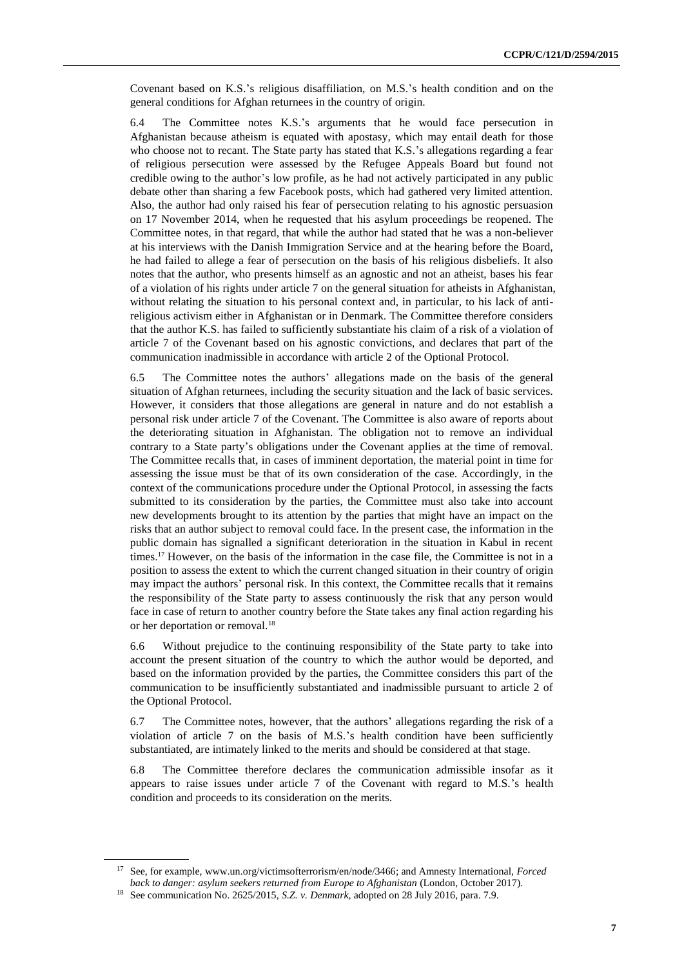Covenant based on K.S.'s religious disaffiliation, on M.S.'s health condition and on the general conditions for Afghan returnees in the country of origin.

6.4 The Committee notes K.S.'s arguments that he would face persecution in Afghanistan because atheism is equated with apostasy, which may entail death for those who choose not to recant. The State party has stated that K.S.'s allegations regarding a fear of religious persecution were assessed by the Refugee Appeals Board but found not credible owing to the author's low profile, as he had not actively participated in any public debate other than sharing a few Facebook posts, which had gathered very limited attention. Also, the author had only raised his fear of persecution relating to his agnostic persuasion on 17 November 2014, when he requested that his asylum proceedings be reopened. The Committee notes, in that regard, that while the author had stated that he was a non-believer at his interviews with the Danish Immigration Service and at the hearing before the Board, he had failed to allege a fear of persecution on the basis of his religious disbeliefs. It also notes that the author, who presents himself as an agnostic and not an atheist, bases his fear of a violation of his rights under article 7 on the general situation for atheists in Afghanistan, without relating the situation to his personal context and, in particular, to his lack of antireligious activism either in Afghanistan or in Denmark. The Committee therefore considers that the author K.S. has failed to sufficiently substantiate his claim of a risk of a violation of article 7 of the Covenant based on his agnostic convictions, and declares that part of the communication inadmissible in accordance with article 2 of the Optional Protocol.

6.5 The Committee notes the authors' allegations made on the basis of the general situation of Afghan returnees, including the security situation and the lack of basic services. However, it considers that those allegations are general in nature and do not establish a personal risk under article 7 of the Covenant. The Committee is also aware of reports about the deteriorating situation in Afghanistan. The obligation not to remove an individual contrary to a State party's obligations under the Covenant applies at the time of removal. The Committee recalls that, in cases of imminent deportation, the material point in time for assessing the issue must be that of its own consideration of the case. Accordingly, in the context of the communications procedure under the Optional Protocol, in assessing the facts submitted to its consideration by the parties, the Committee must also take into account new developments brought to its attention by the parties that might have an impact on the risks that an author subject to removal could face. In the present case, the information in the public domain has signalled a significant deterioration in the situation in Kabul in recent times.<sup>17</sup> However, on the basis of the information in the case file, the Committee is not in a position to assess the extent to which the current changed situation in their country of origin may impact the authors' personal risk. In this context, the Committee recalls that it remains the responsibility of the State party to assess continuously the risk that any person would face in case of return to another country before the State takes any final action regarding his or her deportation or removal.<sup>18</sup>

6.6 Without prejudice to the continuing responsibility of the State party to take into account the present situation of the country to which the author would be deported, and based on the information provided by the parties, the Committee considers this part of the communication to be insufficiently substantiated and inadmissible pursuant to article 2 of the Optional Protocol.

6.7 The Committee notes, however, that the authors' allegations regarding the risk of a violation of article 7 on the basis of M.S.'s health condition have been sufficiently substantiated, are intimately linked to the merits and should be considered at that stage.

6.8 The Committee therefore declares the communication admissible insofar as it appears to raise issues under article 7 of the Covenant with regard to M.S.'s health condition and proceeds to its consideration on the merits.

<sup>17</sup> See, for example[, www.un.org/victimsofterrorism/en/node/3466;](http://www.un.org/victimsofterrorism/en/node/3466) and Amnesty International, *Forced back to danger: asylum seekers returned from Europe to Afghanistan* (London, October 2017).

<sup>18</sup> See communication No. 2625/2015, *S.Z. v. Denmark*, adopted on 28 July 2016, para. 7.9.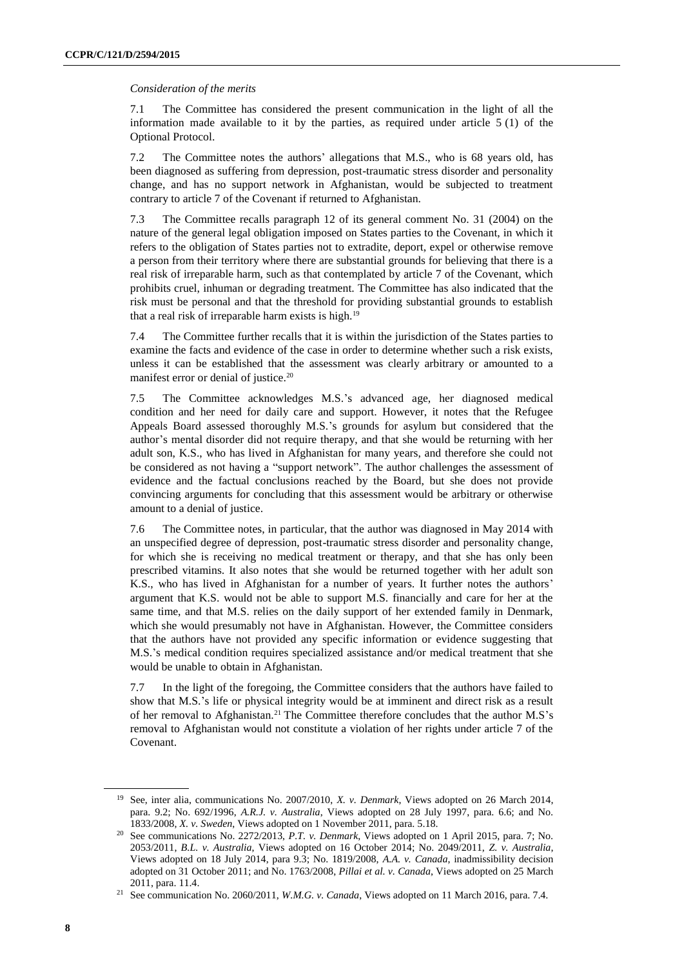#### *Consideration of the merits*

7.1 The Committee has considered the present communication in the light of all the information made available to it by the parties, as required under article  $5(1)$  of the Optional Protocol.

7.2 The Committee notes the authors' allegations that M.S., who is 68 years old, has been diagnosed as suffering from depression, post-traumatic stress disorder and personality change, and has no support network in Afghanistan, would be subjected to treatment contrary to article 7 of the Covenant if returned to Afghanistan.

7.3 The Committee recalls paragraph 12 of its general comment No. 31 (2004) on the nature of the general legal obligation imposed on States parties to the Covenant, in which it refers to the obligation of States parties not to extradite, deport, expel or otherwise remove a person from their territory where there are substantial grounds for believing that there is a real risk of irreparable harm, such as that contemplated by article 7 of the Covenant, which prohibits cruel, inhuman or degrading treatment. The Committee has also indicated that the risk must be personal and that the threshold for providing substantial grounds to establish that a real risk of irreparable harm exists is high.<sup>19</sup>

7.4 The Committee further recalls that it is within the jurisdiction of the States parties to examine the facts and evidence of the case in order to determine whether such a risk exists, unless it can be established that the assessment was clearly arbitrary or amounted to a manifest error or denial of justice.<sup>20</sup>

7.5 The Committee acknowledges M.S.'s advanced age, her diagnosed medical condition and her need for daily care and support. However, it notes that the Refugee Appeals Board assessed thoroughly M.S.'s grounds for asylum but considered that the author's mental disorder did not require therapy, and that she would be returning with her adult son, K.S., who has lived in Afghanistan for many years, and therefore she could not be considered as not having a "support network". The author challenges the assessment of evidence and the factual conclusions reached by the Board, but she does not provide convincing arguments for concluding that this assessment would be arbitrary or otherwise amount to a denial of justice.

7.6 The Committee notes, in particular, that the author was diagnosed in May 2014 with an unspecified degree of depression, post-traumatic stress disorder and personality change, for which she is receiving no medical treatment or therapy, and that she has only been prescribed vitamins. It also notes that she would be returned together with her adult son K.S., who has lived in Afghanistan for a number of years. It further notes the authors' argument that K.S. would not be able to support M.S. financially and care for her at the same time, and that M.S. relies on the daily support of her extended family in Denmark, which she would presumably not have in Afghanistan. However, the Committee considers that the authors have not provided any specific information or evidence suggesting that M.S.'s medical condition requires specialized assistance and/or medical treatment that she would be unable to obtain in Afghanistan.

7.7 In the light of the foregoing, the Committee considers that the authors have failed to show that M.S.'s life or physical integrity would be at imminent and direct risk as a result of her removal to Afghanistan.<sup>21</sup> The Committee therefore concludes that the author M.S's removal to Afghanistan would not constitute a violation of her rights under article 7 of the Covenant.

<sup>19</sup> See, inter alia, communications No. 2007/2010, *X. v. Denmark*, Views adopted on 26 March 2014, para. 9.2; No. 692/1996, *A.R.J. v. Australia*, Views adopted on 28 July 1997, para. 6.6; and No. 1833/2008, *X. v. Sweden*, Views adopted on 1 November 2011, para. 5.18.

<sup>20</sup> See communications No. 2272/2013, *P.T. v. Denmark*, Views adopted on 1 April 2015, para. 7; No. 2053/2011, *B.L. v. Australia*, Views adopted on 16 October 2014; No. 2049/2011, *Z. v. Australia*, Views adopted on 18 July 2014, para 9.3; No. 1819/2008, *A.A. v. Canada*, inadmissibility decision adopted on 31 October 2011; and No. 1763/2008, *Pillai et al. v. Canada*, Views adopted on 25 March 2011, para. 11.4.

<sup>21</sup> See communication No. 2060/2011, *W.M.G. v. Canada*, Views adopted on 11 March 2016, para. 7.4.